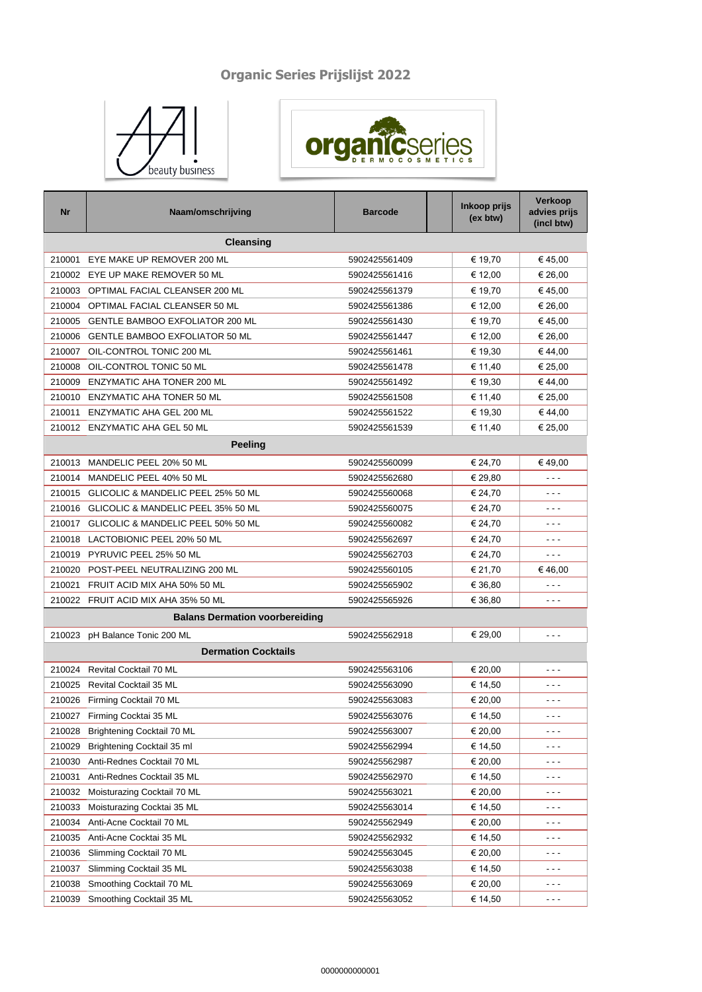## **Organic Series Prijslijst 2022**





| Nr     | Naam/omschrijving                      | <b>Barcode</b> | Inkoop prijs<br>(ex btw) | Verkoop<br>advies prijs<br>(incl btw) |
|--------|----------------------------------------|----------------|--------------------------|---------------------------------------|
|        | Cleansing                              |                |                          |                                       |
| 210001 | EYE MAKE UP REMOVER 200 ML             | 5902425561409  | € 19,70                  | €45,00                                |
| 210002 | EYE UP MAKE REMOVER 50 ML              | 5902425561416  | € 12,00                  | € 26,00                               |
| 210003 | OPTIMAL FACIAL CLEANSER 200 ML         | 5902425561379  | € 19,70                  | €45,00                                |
| 210004 | OPTIMAL FACIAL CLEANSER 50 ML          | 5902425561386  | € 12,00                  | € 26,00                               |
| 210005 | <b>GENTLE BAMBOO EXFOLIATOR 200 ML</b> | 5902425561430  | € 19,70                  | €45,00                                |
| 210006 | <b>GENTLE BAMBOO EXFOLIATOR 50 ML</b>  | 5902425561447  | € 12,00                  | € 26,00                               |
| 210007 | OIL-CONTROL TONIC 200 ML               | 5902425561461  | € 19,30                  | €44,00                                |
| 210008 | OIL-CONTROL TONIC 50 ML                | 5902425561478  | € 11,40                  | € 25,00                               |
| 210009 | <b>ENZYMATIC AHA TONER 200 ML</b>      | 5902425561492  | € 19,30                  | €44,00                                |
| 210010 | ENZYMATIC AHA TONER 50 ML              | 5902425561508  | € 11,40                  | € 25,00                               |
| 210011 | <b>ENZYMATIC AHA GEL 200 ML</b>        | 5902425561522  | € 19,30                  | € 44,00                               |
|        | 210012 ENZYMATIC AHA GEL 50 ML         | 5902425561539  | € 11,40                  | € 25,00                               |
|        | <b>Peeling</b>                         |                |                          |                                       |
| 210013 | MANDELIC PEEL 20% 50 ML                | 5902425560099  | € 24,70                  | €49,00                                |
| 210014 | MANDELIC PEEL 40% 50 ML                | 5902425562680  | € 29,80                  | - - -                                 |
| 210015 | GLICOLIC & MANDELIC PEEL 25% 50 ML     | 5902425560068  | € 24,70                  | - - -                                 |
| 210016 | GLICOLIC & MANDELIC PEEL 35% 50 ML     | 5902425560075  | € 24,70                  | - - -                                 |
| 210017 | GLICOLIC & MANDELIC PEEL 50% 50 ML     | 5902425560082  | € 24,70                  | - - -                                 |
| 210018 | LACTOBIONIC PEEL 20% 50 ML             | 5902425562697  | € 24,70                  | - - -                                 |
| 210019 | PYRUVIC PEEL 25% 50 ML                 | 5902425562703  | € 24,70                  | - - -                                 |
| 210020 | POST-PEEL NEUTRALIZING 200 ML          | 5902425560105  | € 21,70                  | €46,00                                |
| 210021 | FRUIT ACID MIX AHA 50% 50 ML           | 5902425565902  | € 36,80                  | - - -                                 |
| 210022 | FRUIT ACID MIX AHA 35% 50 ML           | 5902425565926  | € 36,80                  | - - -                                 |
|        | <b>Balans Dermation voorbereiding</b>  |                |                          |                                       |
| 210023 | pH Balance Tonic 200 ML                | 5902425562918  | € 29,00                  | - - -                                 |
|        | <b>Dermation Cocktails</b>             |                |                          |                                       |
|        |                                        |                |                          |                                       |
|        | 210024 Revital Cocktail 70 ML          | 5902425563106  | € 20,00                  | $- - -$                               |
| 210025 | <b>Revital Cocktail 35 ML</b>          | 5902425563090  | € 14,50                  | - - -                                 |
| 210026 | Firming Cocktail 70 ML                 | 5902425563083  | € 20,00                  | - - -                                 |
|        | 210027 Firming Cocktai 35 ML           | 5902425563076  | € 14,50                  | .                                     |
| 210028 | Brightening Cocktail 70 ML             | 5902425563007  | € 20,00                  | - - -                                 |
| 210029 | Brightening Cocktail 35 ml             | 5902425562994  | € 14,50                  | - - -                                 |
| 210030 | Anti-Rednes Cocktail 70 ML             | 5902425562987  | € 20,00                  | - - -                                 |
| 210031 | Anti-Rednes Cocktail 35 ML             | 5902425562970  | € 14,50                  | - - -                                 |
| 210032 | Moisturazing Cocktail 70 ML            | 5902425563021  | € 20,00                  | - - -                                 |
| 210033 | Moisturazing Cocktai 35 ML             | 5902425563014  | € 14,50                  | - - -                                 |
| 210034 | Anti-Acne Cocktail 70 ML               | 5902425562949  | € 20,00                  | - - -                                 |
| 210035 | Anti-Acne Cocktai 35 ML                | 5902425562932  | € 14,50                  | ---                                   |
| 210036 | Slimming Cocktail 70 ML                | 5902425563045  | € 20,00                  | - - -                                 |
| 210037 | Slimming Cocktail 35 ML                | 5902425563038  | € 14,50                  | - - -                                 |
| 210038 | Smoothing Cocktail 70 ML               | 5902425563069  | € 20,00                  | - - -                                 |
| 210039 | Smoothing Cocktail 35 ML               | 5902425563052  | € 14,50                  | $- - -$                               |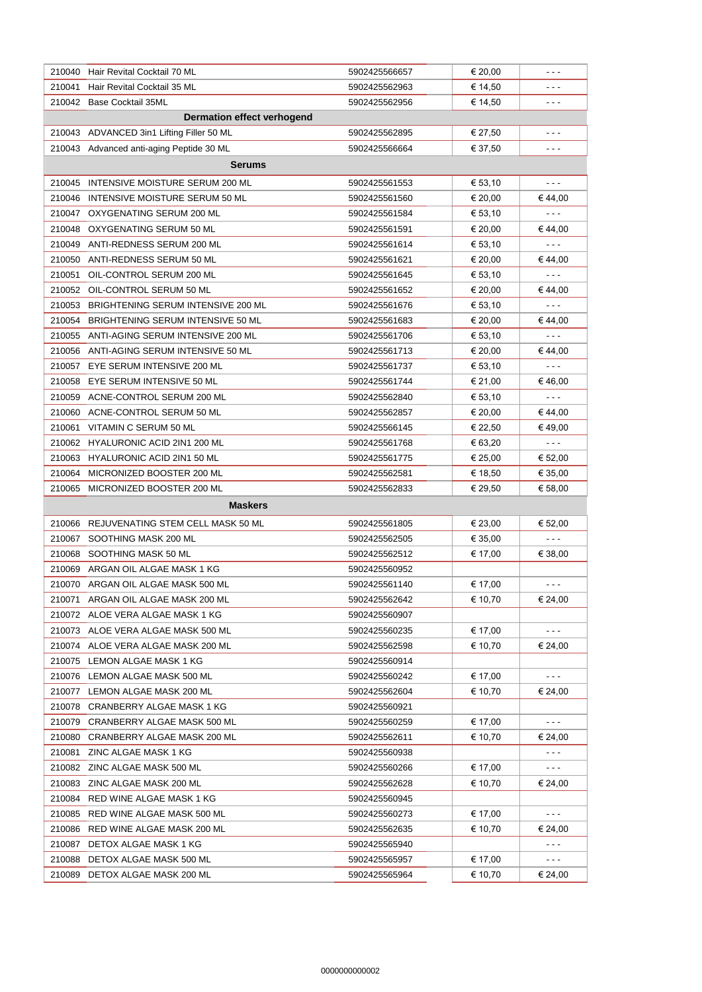|        | 210040 Hair Revital Cocktail 70 ML        | 5902425566657                  | € 20,00 | ---                  |
|--------|-------------------------------------------|--------------------------------|---------|----------------------|
| 210041 | Hair Revital Cocktail 35 ML               | 5902425562963                  | € 14,50 | ---                  |
| 210042 | <b>Base Cocktail 35ML</b>                 | 5902425562956                  | € 14,50 | ---                  |
|        | <b>Dermation effect verhogend</b>         |                                |         |                      |
|        | 210043 ADVANCED 3in1 Lifting Filler 50 ML | 5902425562895                  | € 27,50 | - - -                |
|        | 210043 Advanced anti-aging Peptide 30 ML  | 5902425566664                  | € 37.50 | - - -                |
|        | Serums                                    |                                |         |                      |
| 210045 | INTENSIVE MOISTURE SERUM 200 ML           | 5902425561553                  | € 53,10 | $- - -$              |
| 210046 | INTENSIVE MOISTURE SERUM 50 ML            | 5902425561560                  | € 20,00 | € 44,00              |
|        | 210047 OXYGENATING SERUM 200 ML           | 5902425561584                  | € 53,10 | $- - -$              |
|        | 210048 OXYGENATING SERUM 50 ML            | 5902425561591                  | € 20,00 | € 44,00              |
| 210049 | ANTI-REDNESS SERUM 200 ML                 | 5902425561614                  | € 53,10 | $- - -$              |
| 210050 | ANTI-REDNESS SERUM 50 ML                  | 5902425561621                  | € 20,00 | € 44,00              |
| 210051 | OIL-CONTROL SERUM 200 ML                  | 5902425561645                  | € 53,10 | $- - -$              |
|        | 210052 OIL-CONTROL SERUM 50 ML            | 5902425561652                  | € 20,00 | € 44,00              |
| 210053 | BRIGHTENING SERUM INTENSIVE 200 ML        | 5902425561676                  | € 53,10 | $- - -$              |
| 210054 | BRIGHTENING SERUM INTENSIVE 50 ML         | 5902425561683                  | € 20,00 | € 44,00              |
| 210055 | ANTI-AGING SERUM INTENSIVE 200 ML         | 5902425561706                  | € 53,10 | $- - -$              |
|        | 210056 ANTI-AGING SERUM INTENSIVE 50 ML   | 5902425561713                  | € 20,00 | €44,00               |
| 210057 | EYE SERUM INTENSIVE 200 ML                | 5902425561737                  | € 53,10 | - - -                |
| 210058 | EYE SERUM INTENSIVE 50 ML                 | 5902425561744                  | € 21,00 | €46,00               |
| 210059 | ACNE-CONTROL SERUM 200 ML                 | 5902425562840                  | € 53,10 | $- - -$              |
|        | 210060 ACNE-CONTROL SERUM 50 ML           | 5902425562857                  | € 20,00 | € 44,00              |
| 210061 | VITAMIN C SERUM 50 ML                     | 5902425566145                  | € 22,50 | €49,00               |
|        | 210062 HYALURONIC ACID 2IN1 200 ML        | 5902425561768                  | € 63,20 | $\sim$ $\sim$ $\sim$ |
|        | 210063 HYALURONIC ACID 2IN1 50 ML         | 5902425561775                  | € 25,00 | € 52,00              |
| 210064 | MICRONIZED BOOSTER 200 ML                 | 5902425562581                  | € 18,50 | € 35,00              |
| 210065 | MICRONIZED BOOSTER 200 ML                 | 5902425562833                  | € 29,50 | € 58,00              |
|        | <b>Maskers</b>                            |                                |         |                      |
|        | 210066 REJUVENATING STEM CELL MASK 50 ML  | 5902425561805                  | € 23,00 | € 52,00              |
| 210067 | SOOTHING MASK 200 ML                      | 5902425562505                  | € 35,00 | $- - -$              |
|        | 210068 SOOTHING MASK 50 ML                |                                | € 17,00 | € 38,00              |
| 210069 | ARGAN OIL ALGAE MASK 1 KG                 | 5902425562512                  |         |                      |
|        | 210070 ARGAN OIL ALGAE MASK 500 ML        | 5902425560952<br>5902425561140 | € 17,00 | ---                  |
|        | 210071 ARGAN OIL ALGAE MASK 200 ML        | 5902425562642                  | € 10,70 | € 24,00              |
|        | 210072 ALOE VERA ALGAE MASK 1 KG          | 5902425560907                  |         |                      |
|        | 210073 ALOE VERA ALGAE MASK 500 ML        | 5902425560235                  | € 17,00 | $- - -$              |
|        | 210074 ALOE VERA ALGAE MASK 200 ML        | 5902425562598                  | € 10,70 | € 24,00              |
| 210075 | LEMON ALGAE MASK 1 KG                     | 5902425560914                  |         |                      |
|        | 210076 LEMON ALGAE MASK 500 ML            | 5902425560242                  | € 17,00 | $- - -$              |
|        | 210077 LEMON ALGAE MASK 200 ML            | 5902425562604                  | € 10,70 | € 24,00              |
| 210078 | CRANBERRY ALGAE MASK 1 KG                 | 5902425560921                  |         |                      |
| 210079 | CRANBERRY ALGAE MASK 500 ML               | 5902425560259                  | € 17,00 | $- - -$              |
| 210080 | CRANBERRY ALGAE MASK 200 ML               | 5902425562611                  | € 10,70 | € 24,00              |
| 210081 | ZINC ALGAE MASK 1 KG                      | 5902425560938                  |         | $- - -$              |
| 210082 | ZINC ALGAE MASK 500 ML                    | 5902425560266                  | € 17,00 | - - -                |
| 210083 | ZINC ALGAE MASK 200 ML                    | 5902425562628                  | € 10,70 | € 24,00              |
| 210084 | RED WINE ALGAE MASK 1 KG                  | 5902425560945                  |         |                      |
| 210085 | RED WINE ALGAE MASK 500 ML                | 5902425560273                  | € 17,00 | $- - -$              |
| 210086 | RED WINE ALGAE MASK 200 ML                | 5902425562635                  | € 10,70 | € 24,00              |
| 210087 | DETOX ALGAE MASK 1 KG                     | 5902425565940                  |         | $- - -$              |
| 210088 | DETOX ALGAE MASK 500 ML                   | 5902425565957                  | € 17,00 | .                    |
| 210089 | DETOX ALGAE MASK 200 ML                   | 5902425565964                  | € 10,70 | € 24,00              |
|        |                                           |                                |         |                      |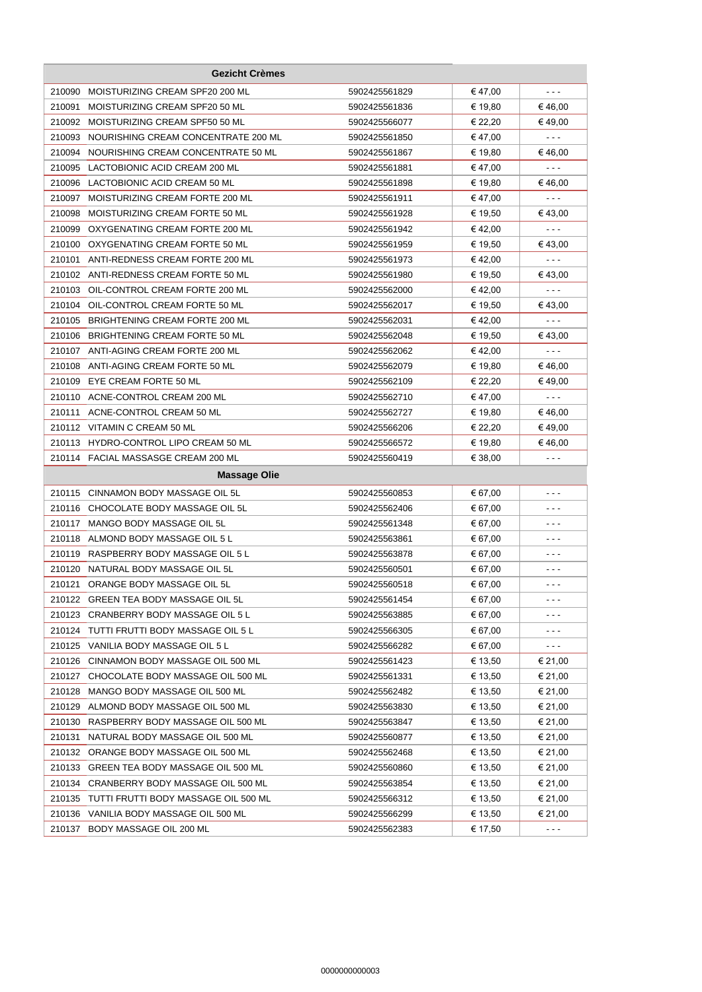|        | <b>Gezicht Crèmes</b>                       |               |         |         |
|--------|---------------------------------------------|---------------|---------|---------|
| 210090 | MOISTURIZING CREAM SPF20 200 ML             | 5902425561829 | € 47,00 | $- - -$ |
| 210091 | MOISTURIZING CREAM SPF20 50 ML              | 5902425561836 | € 19,80 | €46.00  |
| 210092 | MOISTURIZING CREAM SPF50 50 ML              | 5902425566077 | € 22,20 | €49,00  |
| 210093 | NOURISHING CREAM CONCENTRATE 200 ML         | 5902425561850 | € 47,00 | $- - -$ |
| 210094 | NOURISHING CREAM CONCENTRATE 50 ML          | 5902425561867 | € 19,80 | €46,00  |
| 210095 | LACTOBIONIC ACID CREAM 200 ML               | 5902425561881 | € 47,00 | - - -   |
| 210096 | LACTOBIONIC ACID CREAM 50 ML                | 5902425561898 | € 19,80 | €46,00  |
| 210097 | MOISTURIZING CREAM FORTE 200 ML             | 5902425561911 | €47,00  | - - -   |
| 210098 | MOISTURIZING CREAM FORTE 50 ML              | 5902425561928 | € 19,50 | €43,00  |
| 210099 | OXYGENATING CREAM FORTE 200 ML              | 5902425561942 | €42,00  | $- - -$ |
|        | 210100 OXYGENATING CREAM FORTE 50 ML        | 5902425561959 | € 19,50 | €43,00  |
| 210101 | ANTI-REDNESS CREAM FORTE 200 ML             | 5902425561973 | €42,00  | $- - -$ |
|        | 210102 ANTI-REDNESS CREAM FORTE 50 ML       | 5902425561980 | € 19,50 | €43,00  |
| 210103 | OIL-CONTROL CREAM FORTE 200 ML              | 5902425562000 | €42,00  | $- - -$ |
| 210104 | OIL-CONTROL CREAM FORTE 50 ML               | 5902425562017 | € 19,50 | €43,00  |
| 210105 | BRIGHTENING CREAM FORTE 200 ML              | 5902425562031 | €42,00  | $- - -$ |
|        | 210106 BRIGHTENING CREAM FORTE 50 ML        | 5902425562048 | € 19,50 | € 43,00 |
|        | 210107 ANTI-AGING CREAM FORTE 200 ML        | 5902425562062 | €42,00  | - - -   |
| 210108 | ANTI-AGING CREAM FORTE 50 ML                | 5902425562079 | € 19,80 | €46,00  |
| 210109 | EYE CREAM FORTE 50 ML                       | 5902425562109 | € 22,20 | €49,00  |
|        | 210110 ACNE-CONTROL CREAM 200 ML            | 5902425562710 | €47,00  | $- - -$ |
| 210111 | ACNE-CONTROL CREAM 50 ML                    | 5902425562727 | € 19,80 | € 46,00 |
|        | 210112 VITAMIN C CREAM 50 ML                | 5902425566206 | € 22,20 | € 49,00 |
|        | 210113 HYDRO-CONTROL LIPO CREAM 50 ML       | 5902425566572 | € 19,80 | €46,00  |
|        | 210114 FACIAL MASSASGE CREAM 200 ML         | 5902425560419 | € 38,00 |         |
|        | <b>Massage Olie</b>                         |               |         |         |
| 210115 | CINNAMON BODY MASSAGE OIL 5L                | 5902425560853 | € 67,00 | - - -   |
|        | 210116 CHOCOLATE BODY MASSAGE OIL 5L        | 5902425562406 | € 67,00 | - - -   |
| 210117 | MANGO BODY MASSAGE OIL 5L                   | 5902425561348 | € 67,00 | - - -   |
|        | 210118 ALMOND BODY MASSAGE OIL 5 L          | 5902425563861 | € 67,00 |         |
|        | 210119 RASPBERRY BODY MASSAGE OIL 5 L       | 5902425563878 | € 67,00 | - - -   |
|        | 210120 NATURAL BODY MASSAGE OIL 5L          | 5902425560501 | € 67,00 | - - -   |
|        | 210121 ORANGE BODY MASSAGE OIL 5L           | 5902425560518 | € 67,00 | ---     |
|        | 210122 GREEN TEA BODY MASSAGE OIL 5L        | 5902425561454 | € 67,00 | - - -   |
|        | 210123 CRANBERRY BODY MASSAGE OIL 5 L       | 5902425563885 | € 67,00 |         |
|        | 210124 TUTTI FRUTTI BODY MASSAGE OIL 5 L    | 5902425566305 | € 67,00 |         |
|        | 210125 VANILIA BODY MASSAGE OIL 5 L         | 5902425566282 | € 67,00 |         |
| 210126 | CINNAMON BODY MASSAGE OIL 500 ML            | 5902425561423 | € 13,50 | € 21,00 |
| 210127 | CHOCOLATE BODY MASSAGE OIL 500 ML           | 5902425561331 | € 13,50 | € 21,00 |
| 210128 | MANGO BODY MASSAGE OIL 500 ML               | 5902425562482 | € 13,50 | € 21,00 |
| 210129 | ALMOND BODY MASSAGE OIL 500 ML              | 5902425563830 | € 13,50 | € 21,00 |
| 210130 | RASPBERRY BODY MASSAGE OIL 500 ML           | 5902425563847 | € 13,50 | € 21,00 |
| 210131 | NATURAL BODY MASSAGE OIL 500 ML             | 5902425560877 | € 13,50 | € 21,00 |
|        | 210132 ORANGE BODY MASSAGE OIL 500 ML       | 5902425562468 | € 13,50 | € 21,00 |
| 210133 | GREEN TEA BODY MASSAGE OIL 500 ML           | 5902425560860 | € 13,50 | € 21,00 |
| 210134 | CRANBERRY BODY MASSAGE OIL 500 ML           | 5902425563854 | € 13,50 | € 21,00 |
|        | 210135 TUTTI FRUTTI BODY MASSAGE OIL 500 ML | 5902425566312 | € 13,50 | € 21,00 |
| 210136 | VANILIA BODY MASSAGE OIL 500 ML             | 5902425566299 | € 13,50 | € 21,00 |
| 210137 | BODY MASSAGE OIL 200 ML                     | 5902425562383 | € 17,50 | $- - -$ |